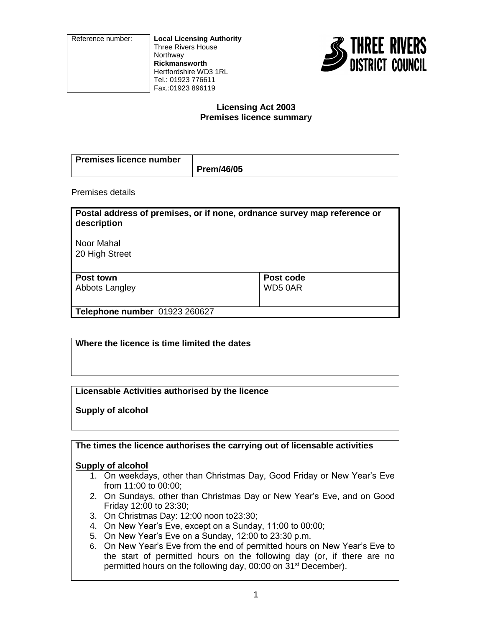Reference number: **Local Licensing Authority** Three Rivers House **Northway Rickmansworth** Hertfordshire WD3 1RL Tel.: 01923 776611 Fax.:01923 896119



# **Licensing Act 2003 Premises licence summary**

| Premises licence number |            |
|-------------------------|------------|
|                         | Prem/46/05 |

Premises details

| Postal address of premises, or if none, ordnance survey map reference or<br>description |           |
|-----------------------------------------------------------------------------------------|-----------|
| Noor Mahal<br>20 High Street                                                            |           |
| Post town                                                                               | Post code |
| Abbots Langley                                                                          | WD50AR    |
| Telephone number 01923 260627                                                           |           |

**Where the licence is time limited the dates**

**Licensable Activities authorised by the licence**

**Supply of alcohol**

**The times the licence authorises the carrying out of licensable activities**

# **Supply of alcohol**

- 1. On weekdays, other than Christmas Day, Good Friday or New Year's Eve from 11:00 to 00:00;
- 2. On Sundays, other than Christmas Day or New Year's Eve, and on Good Friday 12:00 to 23:30;
- 3. On Christmas Day: 12:00 noon to23:30;
- 4. On New Year's Eve, except on a Sunday, 11:00 to 00:00;
- 5. On New Year's Eve on a Sunday, 12:00 to 23:30 p.m.
- 6. On New Year's Eve from the end of permitted hours on New Year's Eve to the start of permitted hours on the following day (or, if there are no permitted hours on the following day, 00:00 on 31<sup>st</sup> December).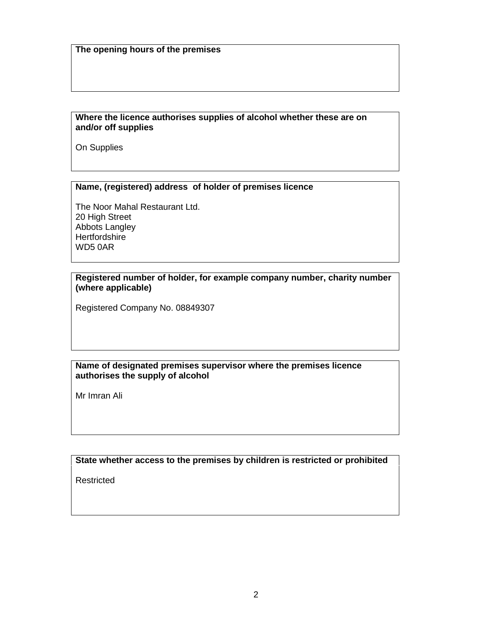### **Where the licence authorises supplies of alcohol whether these are on and/or off supplies**

On Supplies

### **Name, (registered) address of holder of premises licence**

The Noor Mahal Restaurant Ltd. 20 High Street Abbots Langley **Hertfordshire** WD5 0AR

## **Registered number of holder, for example company number, charity number (where applicable)**

Registered Company No. 08849307

## **Name of designated premises supervisor where the premises licence authorises the supply of alcohol**

Mr Imran Ali

**State whether access to the premises by children is restricted or prohibited**

Restricted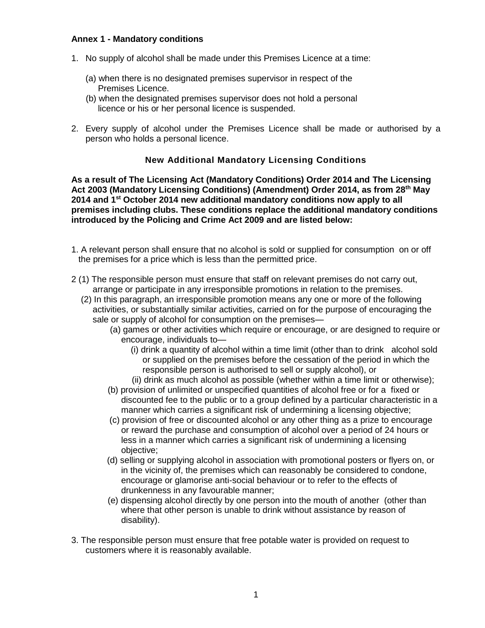# **Annex 1 - Mandatory conditions**

- 1. No supply of alcohol shall be made under this Premises Licence at a time:
	- (a) when there is no designated premises supervisor in respect of the Premises Licence.
	- (b) when the designated premises supervisor does not hold a personal licence or his or her personal licence is suspended.
- 2. Every supply of alcohol under the Premises Licence shall be made or authorised by a person who holds a personal licence.

# **New Additional Mandatory Licensing Conditions**

**As a result of The Licensing Act (Mandatory Conditions) Order 2014 and The Licensing Act 2003 (Mandatory Licensing Conditions) (Amendment) Order 2014, as from 28th May 2014 and 1st October 2014 new additional mandatory conditions now apply to all premises including clubs. These conditions replace the additional mandatory conditions introduced by the Policing and Crime Act 2009 and are listed below:**

- 1. A relevant person shall ensure that no alcohol is sold or supplied for consumption on or off the premises for a price which is less than the permitted price.
- 2 (1) The responsible person must ensure that staff on relevant premises do not carry out, arrange or participate in any irresponsible promotions in relation to the premises.
	- (2) In this paragraph, an irresponsible promotion means any one or more of the following activities, or substantially similar activities, carried on for the purpose of encouraging the sale or supply of alcohol for consumption on the premises—
		- (a) games or other activities which require or encourage, or are designed to require or encourage, individuals to—
			- (i) drink a quantity of alcohol within a time limit (other than to drink alcohol sold or supplied on the premises before the cessation of the period in which the responsible person is authorised to sell or supply alcohol), or
			- (ii) drink as much alcohol as possible (whether within a time limit or otherwise);
		- (b) provision of unlimited or unspecified quantities of alcohol free or for a fixed or discounted fee to the public or to a group defined by a particular characteristic in a manner which carries a significant risk of undermining a licensing objective;
		- (c) provision of free or discounted alcohol or any other thing as a prize to encourage or reward the purchase and consumption of alcohol over a period of 24 hours or less in a manner which carries a significant risk of undermining a licensing objective;
		- (d) selling or supplying alcohol in association with promotional posters or flyers on, or in the vicinity of, the premises which can reasonably be considered to condone, encourage or glamorise anti-social behaviour or to refer to the effects of drunkenness in any favourable manner;
		- (e) dispensing alcohol directly by one person into the mouth of another (other than where that other person is unable to drink without assistance by reason of disability).
- 3. The responsible person must ensure that free potable water is provided on request to customers where it is reasonably available.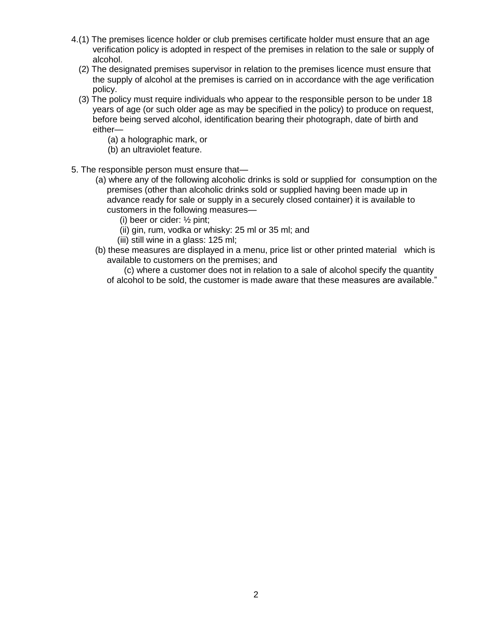- 4.(1) The premises licence holder or club premises certificate holder must ensure that an age verification policy is adopted in respect of the premises in relation to the sale or supply of alcohol.
	- (2) The designated premises supervisor in relation to the premises licence must ensure that the supply of alcohol at the premises is carried on in accordance with the age verification policy.
	- (3) The policy must require individuals who appear to the responsible person to be under 18 years of age (or such older age as may be specified in the policy) to produce on request, before being served alcohol, identification bearing their photograph, date of birth and either—
		- (a) a holographic mark, or
		- (b) an ultraviolet feature.
- 5. The responsible person must ensure that—
	- (a) where any of the following alcoholic drinks is sold or supplied for consumption on the premises (other than alcoholic drinks sold or supplied having been made up in advance ready for sale or supply in a securely closed container) it is available to customers in the following measures—
		- (i) beer or cider: ½ pint;
		- (ii) gin, rum, vodka or whisky: 25 ml or 35 ml; and
		- (iii) still wine in a glass: 125 ml;
	- (b) these measures are displayed in a menu, price list or other printed material which is available to customers on the premises; and

 (c) where a customer does not in relation to a sale of alcohol specify the quantity of alcohol to be sold, the customer is made aware that these measures are available."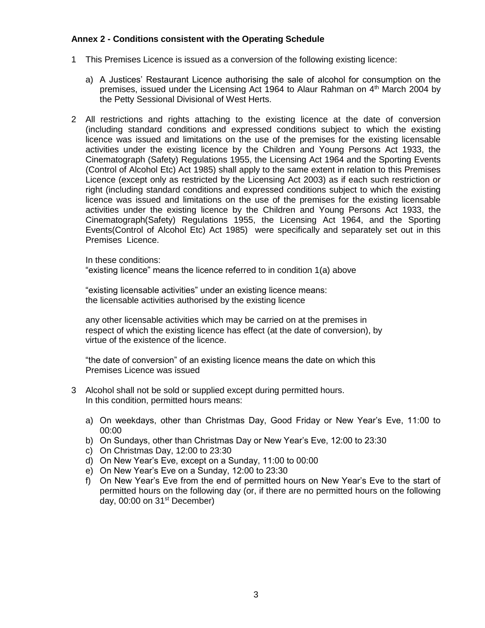## **Annex 2 - Conditions consistent with the Operating Schedule**

- 1 This Premises Licence is issued as a conversion of the following existing licence:
	- a) A Justices' Restaurant Licence authorising the sale of alcohol for consumption on the premises, issued under the Licensing Act 1964 to Alaur Rahman on 4th March 2004 by the Petty Sessional Divisional of West Herts.
- 2 All restrictions and rights attaching to the existing licence at the date of conversion (including standard conditions and expressed conditions subject to which the existing licence was issued and limitations on the use of the premises for the existing licensable activities under the existing licence by the Children and Young Persons Act 1933, the Cinematograph (Safety) Regulations 1955, the Licensing Act 1964 and the Sporting Events (Control of Alcohol Etc) Act 1985) shall apply to the same extent in relation to this Premises Licence (except only as restricted by the Licensing Act 2003) as if each such restriction or right (including standard conditions and expressed conditions subject to which the existing licence was issued and limitations on the use of the premises for the existing licensable activities under the existing licence by the Children and Young Persons Act 1933, the Cinematograph(Safety) Regulations 1955, the Licensing Act 1964, and the Sporting Events(Control of Alcohol Etc) Act 1985) were specifically and separately set out in this Premises Licence.

In these conditions:

"existing licence" means the licence referred to in condition 1(a) above

"existing licensable activities" under an existing licence means: the licensable activities authorised by the existing licence

any other licensable activities which may be carried on at the premises in respect of which the existing licence has effect (at the date of conversion), by virtue of the existence of the licence.

"the date of conversion" of an existing licence means the date on which this Premises Licence was issued

- 3 Alcohol shall not be sold or supplied except during permitted hours. In this condition, permitted hours means:
	- a) On weekdays, other than Christmas Day, Good Friday or New Year's Eve, 11:00 to 00:00
	- b) On Sundays, other than Christmas Day or New Year's Eve, 12:00 to 23:30
	- c) On Christmas Day, 12:00 to 23:30
	- d) On New Year's Eve, except on a Sunday, 11:00 to 00:00
	- e) On New Year's Eve on a Sunday, 12:00 to 23:30
	- f) On New Year's Eve from the end of permitted hours on New Year's Eve to the start of permitted hours on the following day (or, if there are no permitted hours on the following day, 00:00 on 31st December)